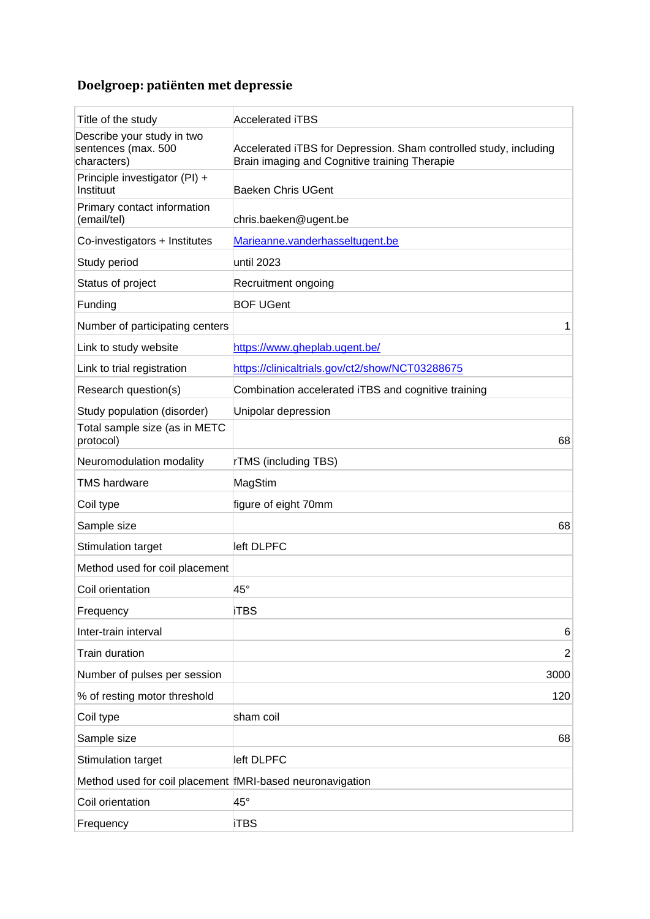## **Doelgroep: patiënten met depressie**

| Title of the study                                               | <b>Accelerated iTBS</b>                                                                                            |
|------------------------------------------------------------------|--------------------------------------------------------------------------------------------------------------------|
| Describe your study in two<br>sentences (max. 500<br>characters) | Accelerated iTBS for Depression. Sham controlled study, including<br>Brain imaging and Cognitive training Therapie |
| Principle investigator (PI) +<br>Instituut                       | <b>Baeken Chris UGent</b>                                                                                          |
| Primary contact information<br>(email/tel)                       | chris.baeken@ugent.be                                                                                              |
| Co-investigators + Institutes                                    | Marieanne.vanderhasseltugent.be                                                                                    |
| Study period                                                     | until 2023                                                                                                         |
| Status of project                                                | Recruitment ongoing                                                                                                |
| Funding                                                          | <b>BOF UGent</b>                                                                                                   |
| Number of participating centers                                  | 1                                                                                                                  |
| Link to study website                                            | https://www.gheplab.ugent.be/                                                                                      |
| Link to trial registration                                       | https://clinicaltrials.gov/ct2/show/NCT03288675                                                                    |
| Research question(s)                                             | Combination accelerated iTBS and cognitive training                                                                |
| Study population (disorder)                                      | Unipolar depression                                                                                                |
| Total sample size (as in METC<br>protocol)                       | 68                                                                                                                 |
| Neuromodulation modality                                         | <b>rTMS</b> (including TBS)                                                                                        |
| <b>TMS hardware</b>                                              | MagStim                                                                                                            |
|                                                                  |                                                                                                                    |
| Coil type                                                        | figure of eight 70mm                                                                                               |
| Sample size                                                      | 68                                                                                                                 |
| Stimulation target                                               | left DLPFC                                                                                                         |
| Method used for coil placement                                   |                                                                                                                    |
| Coil orientation                                                 | 45°                                                                                                                |
| Frequency                                                        | <b>iTBS</b>                                                                                                        |
| Inter-train interval                                             | 6                                                                                                                  |
| <b>Train duration</b>                                            | $\overline{2}$                                                                                                     |
| Number of pulses per session                                     | 3000                                                                                                               |
| % of resting motor threshold                                     | 120                                                                                                                |
| Coil type                                                        | sham coil                                                                                                          |
| Sample size                                                      | 68                                                                                                                 |
| Stimulation target                                               | left DLPFC                                                                                                         |
| Method used for coil placement fMRI-based neuronavigation        |                                                                                                                    |
| Coil orientation                                                 | 45°                                                                                                                |